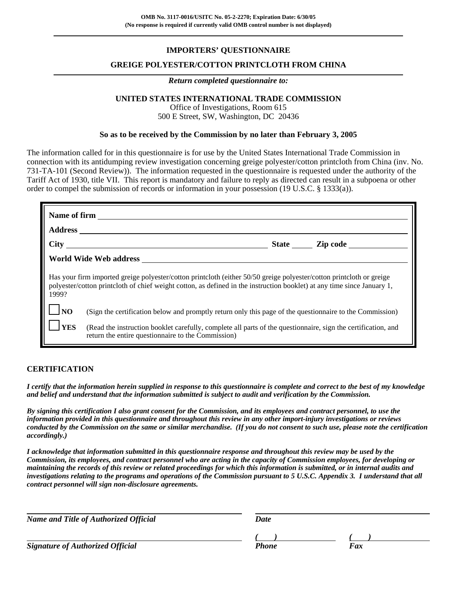# **IMPORTERS' QUESTIONNAIRE**

## **GREIGE POLYESTER/COTTON PRINTCLOTH FROM CHINA**

#### *Return completed questionnaire to:*

# **UNITED STATES INTERNATIONAL TRADE COMMISSION**

Office of Investigations, Room 615 500 E Street, SW, Washington, DC 20436

### **So as to be received by the Commission by no later than February 3, 2005**

The information called for in this questionnaire is for use by the United States International Trade Commission in connection with its antidumping review investigation concerning greige polyester/cotton printcloth from China (inv. No. 731-TA-101 (Second Review)). The information requested in the questionnaire is requested under the authority of the Tariff Act of 1930, title VII. This report is mandatory and failure to reply as directed can result in a subpoena or other order to compel the submission of records or information in your possession (19 U.S.C. § 1333(a)).

| <b>Address</b>                                                                                                                                                                                                                                           |                                                                                                                                                                     |  |  |  |  |  |
|----------------------------------------------------------------------------------------------------------------------------------------------------------------------------------------------------------------------------------------------------------|---------------------------------------------------------------------------------------------------------------------------------------------------------------------|--|--|--|--|--|
|                                                                                                                                                                                                                                                          |                                                                                                                                                                     |  |  |  |  |  |
|                                                                                                                                                                                                                                                          |                                                                                                                                                                     |  |  |  |  |  |
| Has your firm imported greige polyester/cotton printcloth (either 50/50 greige polyester/cotton printcloth or greige<br>polyester/cotton printcloth of chief weight cotton, as defined in the instruction booklet) at any time since January 1,<br>1999? |                                                                                                                                                                     |  |  |  |  |  |
| <b>TNO</b><br>(Sign the certification below and promptly return only this page of the questionnaire to the Commission)                                                                                                                                   |                                                                                                                                                                     |  |  |  |  |  |
| <b>YES</b>                                                                                                                                                                                                                                               | (Read the instruction booklet carefully, complete all parts of the questionnaire, sign the certification, and<br>return the entire questionnaire to the Commission) |  |  |  |  |  |

### **CERTIFICATION**

*I certify that the information herein supplied in response to this questionnaire is complete and correct to the best of my knowledge and belief and understand that the information submitted is subject to audit and verification by the Commission.*

*By signing this certification I also grant consent for the Commission, and its employees and contract personnel, to use the information provided in this questionnaire and throughout this review in any other import-injury investigations or reviews conducted by the Commission on the same or similar merchandise. (If you do not consent to such use, please note the certification accordingly.)*

*I acknowledge that information submitted in this questionnaire response and throughout this review may be used by the Commission, its employees, and contract personnel who are acting in the capacity of Commission employees, for developing or maintaining the records of this review or related proceedings for which this information is submitted, or in internal audits and investigations relating to the programs and operations of the Commission pursuant to 5 U.S.C. Appendix 3. I understand that all contract personnel will sign non-disclosure agreements.*

| <b>Name and Title of Authorized Official</b> | Date  |     |
|----------------------------------------------|-------|-----|
|                                              |       |     |
| <b>Signature of Authorized Official</b>      | Phone | Fax |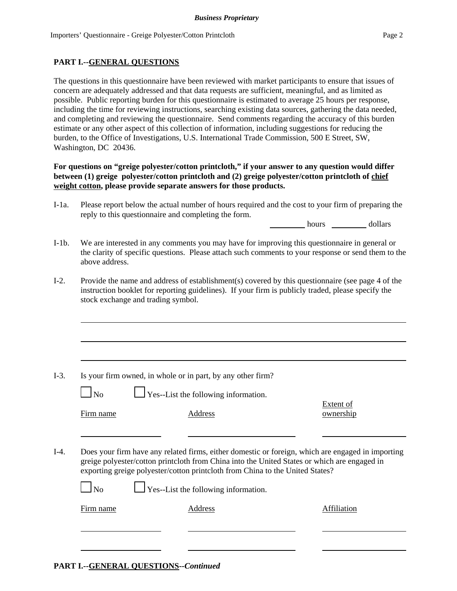# **PART I.--GENERAL QUESTIONS**

The questions in this questionnaire have been reviewed with market participants to ensure that issues of concern are adequately addressed and that data requests are sufficient, meaningful, and as limited as possible. Public reporting burden for this questionnaire is estimated to average 25 hours per response, including the time for reviewing instructions, searching existing data sources, gathering the data needed, and completing and reviewing the questionnaire. Send comments regarding the accuracy of this burden estimate or any other aspect of this collection of information, including suggestions for reducing the burden, to the Office of Investigations, U.S. International Trade Commission, 500 E Street, SW, Washington, DC 20436.

# **For questions on "greige polyester/cotton printcloth," if your answer to any question would differ between (1) greige polyester/cotton printcloth and (2) greige polyester/cotton printcloth of chief weight cotton, please provide separate answers for those products.**

I-1a. Please report below the actual number of hours required and the cost to your firm of preparing the reply to this questionnaire and completing the form.

hours dollars

- I-1b. We are interested in any comments you may have for improving this questionnaire in general or the clarity of specific questions. Please attach such comments to your response or send them to the above address.
- I-2. Provide the name and address of establishment(s) covered by this questionnaire (see page 4 of the instruction booklet for reporting guidelines). If your firm is publicly traded, please specify the stock exchange and trading symbol.

- I-3. Is your firm owned, in whole or in part, by any other firm?
	- $\Box$  Yes--List the following information.

Firm name **Address Address ownership** 

Extent of

I-4. Does your firm have any related firms, either domestic or foreign, which are engaged in importing greige polyester/cotton printcloth from China into the United States or which are engaged in exporting greige polyester/cotton printcloth from China to the United States?

 $\perp$  Yes--List the following information.

Firm name Address Address Address Affiliation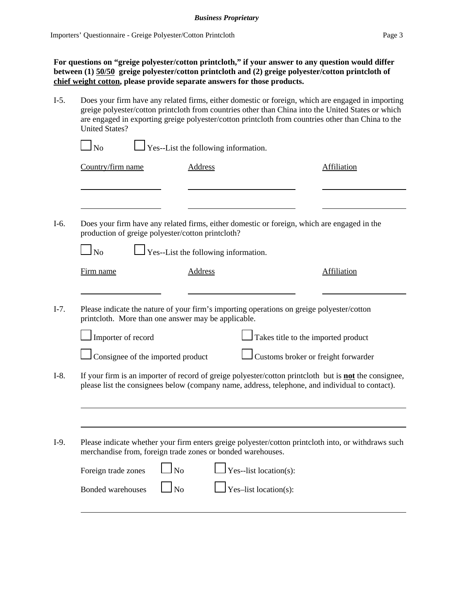**For questions on "greige polyester/cotton printcloth," if your answer to any question would differ between (1) 50/50 greige polyester/cotton printcloth and (2) greige polyester/cotton printcloth of chief weight cotton, please provide separate answers for those products.**

I-5. Does your firm have any related firms, either domestic or foreign, which are engaged in importing greige polyester/cotton printcloth from countries other than China into the United States or which are engaged in exporting greige polyester/cotton printcloth from countries other than China to the United States?

| Country/firm name                 | <b>Address</b>                                                                                                                                   | <b>Affiliation</b>                                                                                                                                                                                              |
|-----------------------------------|--------------------------------------------------------------------------------------------------------------------------------------------------|-----------------------------------------------------------------------------------------------------------------------------------------------------------------------------------------------------------------|
|                                   |                                                                                                                                                  |                                                                                                                                                                                                                 |
|                                   | production of greige polyester/cotton printcloth?                                                                                                | Does your firm have any related firms, either domestic or foreign, which are engaged in the                                                                                                                     |
| $\mathbf{\underline{I}}$ No       | Yes--List the following information.                                                                                                             |                                                                                                                                                                                                                 |
| Firm name                         | Address                                                                                                                                          | Affiliation                                                                                                                                                                                                     |
|                                   | Please indicate the nature of your firm's importing operations on greige polyester/cotton<br>printcloth. More than one answer may be applicable. |                                                                                                                                                                                                                 |
|                                   |                                                                                                                                                  |                                                                                                                                                                                                                 |
| I Importer of record              |                                                                                                                                                  | Takes title to the imported product                                                                                                                                                                             |
| Consignee of the imported product |                                                                                                                                                  | Customs broker or freight forwarder                                                                                                                                                                             |
|                                   |                                                                                                                                                  | If your firm is an importer of record of greige polyester/cotton printcloth but is <b>not</b> the consignee,<br>please list the consignees below (company name, address, telephone, and individual to contact). |
|                                   |                                                                                                                                                  |                                                                                                                                                                                                                 |
|                                   |                                                                                                                                                  |                                                                                                                                                                                                                 |
|                                   | merchandise from, foreign trade zones or bonded warehouses.                                                                                      | Please indicate whether your firm enters greige polyester/cotton printcloth into, or withdraws such                                                                                                             |
| Foreign trade zones               | $\overline{\text{No}}$<br>Yes--list location(s):                                                                                                 |                                                                                                                                                                                                                 |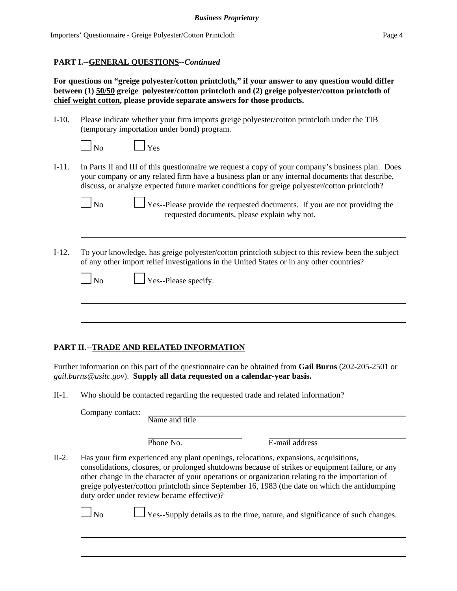## **PART I.--GENERAL QUESTIONS--***Continued*

**For questions on "greige polyester/cotton printcloth," if your answer to any question would differ between (1) 50/50 greige polyester/cotton printcloth and (2) greige polyester/cotton printcloth of chief weight cotton, please provide separate answers for those products.**

I-10. Please indicate whether your firm imports greige polyester/cotton printcloth under the TIB (temporary importation under bond) program.

| $\mathbf{N}\mathbf{O}$ | Yes |
|------------------------|-----|
|------------------------|-----|

I-11. In Parts II and III of this questionnaire we request a copy of your company's business plan. Does your company or any related firm have a business plan or any internal documents that describe, discuss, or analyze expected future market conditions for greige polyester/cotton printcloth?

 $\Box$  Yes--Please provide the requested documents. If you are not providing the requested documents, please explain why not.

I-12. To your knowledge, has greige polyester/cotton printcloth subject to this review been the subject of any other import relief investigations in the United States or in any other countries?

| $\mathbf{\mathbf{I}}$ No | $\Box$ Yes--Please specify. |  |
|--------------------------|-----------------------------|--|
|                          |                             |  |

# **PART II.--TRADE AND RELATED INFORMATION**

Further information on this part of the questionnaire can be obtained from **Gail Burns** (202-205-2501 or *gail.burns@usitc.gov*). **Supply all data requested on a calendar-year basis.**

II-1. Who should be contacted regarding the requested trade and related information?

Company contact:

Name and title

Phone No. **E-mail address** 

II-2. Has your firm experienced any plant openings, relocations, expansions, acquisitions, consolidations, closures, or prolonged shutdowns because of strikes or equipment failure, or any other change in the character of your operations or organization relating to the importation of greige polyester/cotton printcloth since September 16, 1983 (the date on which the antidumping duty order under review became effective)?

|--|

 $\Box$  Yes--Supply details as to the time, nature, and significance of such changes.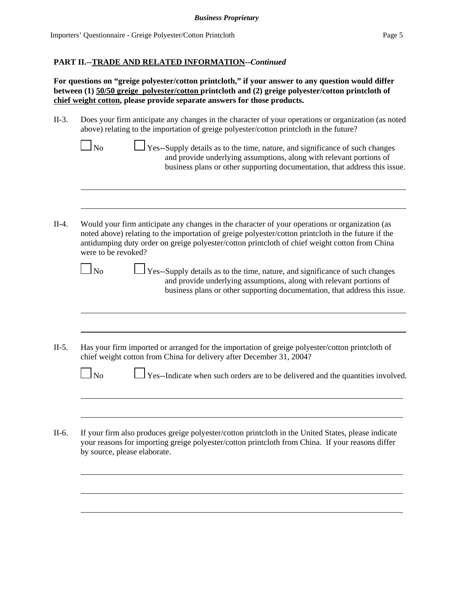**For questions on "greige polyester/cotton printcloth," if your answer to any question would differ between (1) 50/50 greige polyester/cotton printcloth and (2) greige polyester/cotton printcloth of chief weight cotton, please provide separate answers for those products.**

- II-3. Does your firm anticipate any changes in the character of your operations or organization (as noted above) relating to the importation of greige polyester/cotton printcloth in the future?
	- $\Box$  No  $\Box$  Yes--Supply details as to the time, nature, and significance of such changes and provide underlying assumptions, along with relevant portions of business plans or other supporting documentation, that address this issue.
- II-4. Would your firm anticipate any changes in the character of your operations or organization (as noted above) relating to the importation of greige polyester/cotton printcloth in the future if the antidumping duty order on greige polyester/cotton printcloth of chief weight cotton from China were to be revoked?

 $\Box$  No  $\Box$  Yes--Supply details as to the time, nature, and significance of such changes and provide underlying assumptions, along with relevant portions of business plans or other supporting documentation, that address this issue.

II-5. Has your firm imported or arranged for the importation of greige polyester/cotton printcloth of chief weight cotton from China for delivery after December 31, 2004?

|  | $\Box$ No |  | $\Box$ Yes--Indicate when such orders are to be delivered and the quantities involved |
|--|-----------|--|---------------------------------------------------------------------------------------|
|--|-----------|--|---------------------------------------------------------------------------------------|

II-6. If your firm also produces greige polyester/cotton printcloth in the United States, please indicate your reasons for importing greige polyester/cotton printcloth from China. If your reasons differ by source, please elaborate.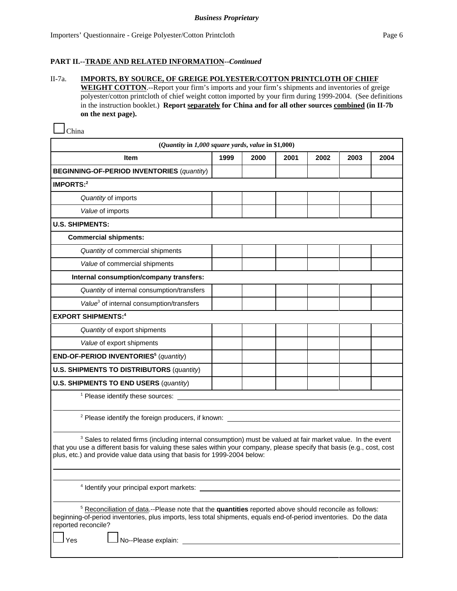### II-7a. **IMPORTS, BY SOURCE, OF GREIGE POLYESTER/COTTON PRINTCLOTH OF CHIEF**

**WEIGHT COTTON**.--Report your firm's imports and your firm's shipments and inventories of greige polyester/cotton printcloth of chief weight cotton imported by your firm during 1999-2004. (See definitions in the instruction booklet.) **Report separately for China and for all other sources combined (in II-7b on the next page).** 

China

| (Quantity in 1,000 square yards, value in \$1,000)                                                                                                                                                                                                                                                                            |      |      |      |      |      |      |
|-------------------------------------------------------------------------------------------------------------------------------------------------------------------------------------------------------------------------------------------------------------------------------------------------------------------------------|------|------|------|------|------|------|
| <b>Item</b>                                                                                                                                                                                                                                                                                                                   | 1999 | 2000 | 2001 | 2002 | 2003 | 2004 |
| <b>BEGINNING-OF-PERIOD INVENTORIES (quantity)</b>                                                                                                                                                                                                                                                                             |      |      |      |      |      |      |
| IMPORTS: <sup>2</sup>                                                                                                                                                                                                                                                                                                         |      |      |      |      |      |      |
| Quantity of imports                                                                                                                                                                                                                                                                                                           |      |      |      |      |      |      |
| Value of imports                                                                                                                                                                                                                                                                                                              |      |      |      |      |      |      |
| <b>U.S. SHIPMENTS:</b>                                                                                                                                                                                                                                                                                                        |      |      |      |      |      |      |
| <b>Commercial shipments:</b>                                                                                                                                                                                                                                                                                                  |      |      |      |      |      |      |
| Quantity of commercial shipments                                                                                                                                                                                                                                                                                              |      |      |      |      |      |      |
| Value of commercial shipments                                                                                                                                                                                                                                                                                                 |      |      |      |      |      |      |
| Internal consumption/company transfers:                                                                                                                                                                                                                                                                                       |      |      |      |      |      |      |
| Quantity of internal consumption/transfers                                                                                                                                                                                                                                                                                    |      |      |      |      |      |      |
| Value <sup>3</sup> of internal consumption/transfers                                                                                                                                                                                                                                                                          |      |      |      |      |      |      |
| <b>EXPORT SHIPMENTS:4</b>                                                                                                                                                                                                                                                                                                     |      |      |      |      |      |      |
| Quantity of export shipments                                                                                                                                                                                                                                                                                                  |      |      |      |      |      |      |
| Value of export shipments                                                                                                                                                                                                                                                                                                     |      |      |      |      |      |      |
| END-OF-PERIOD INVENTORIES <sup>5</sup> (quantity)                                                                                                                                                                                                                                                                             |      |      |      |      |      |      |
| <b>U.S. SHIPMENTS TO DISTRIBUTORS (quantity)</b>                                                                                                                                                                                                                                                                              |      |      |      |      |      |      |
| <b>U.S. SHIPMENTS TO END USERS (quantity)</b>                                                                                                                                                                                                                                                                                 |      |      |      |      |      |      |
| <sup>1</sup> Please identify these sources:                                                                                                                                                                                                                                                                                   |      |      |      |      |      |      |
|                                                                                                                                                                                                                                                                                                                               |      |      |      |      |      |      |
| <sup>2</sup> Please identify the foreign producers, if known:                                                                                                                                                                                                                                                                 |      |      |      |      |      |      |
| <sup>3</sup> Sales to related firms (including internal consumption) must be valued at fair market value. In the event<br>that you use a different basis for valuing these sales within your company, please specify that basis (e.g., cost, cost<br>plus, etc.) and provide value data using that basis for 1999-2004 below: |      |      |      |      |      |      |
|                                                                                                                                                                                                                                                                                                                               |      |      |      |      |      |      |
| <sup>4</sup> Identify your principal export markets:                                                                                                                                                                                                                                                                          |      |      |      |      |      |      |
| <sup>5</sup> Reconciliation of data.--Please note that the quantities reported above should reconcile as follows:<br>beginning-of-period inventories, plus imports, less total shipments, equals end-of-period inventories. Do the data<br>reported reconcile?<br>No--Please explain:<br>Yes                                  |      |      |      |      |      |      |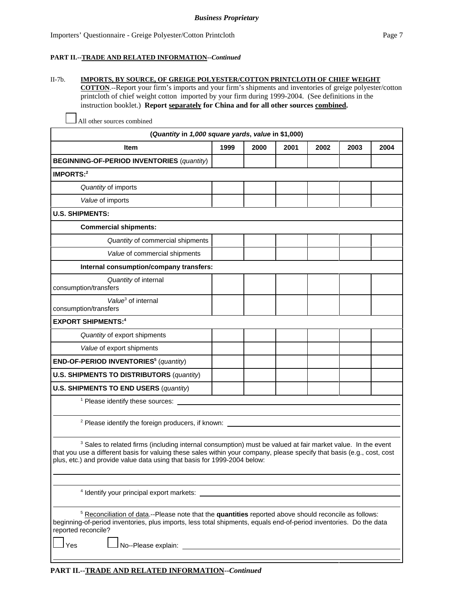#### II-7b. **IMPORTS, BY SOURCE, OF GREIGE POLYESTER/COTTON PRINTCLOTH OF CHIEF WEIGHT**

**COTTON**.--Report your firm's imports and your firm's shipments and inventories of greige polyester/cotton printcloth of chief weight cotton imported by your firm during 1999-2004. (See definitions in the instruction booklet.) **Report separately for China and for all other sources combined.** 

**(***Quantity* **in** *1,000 square yards***,** *value* **in \$1,000) Item 1999 2000 2001 2002 2003 2004 BEGINNING-OF-PERIOD INVENTORIES** (*quantity*) **IMPORTS:2** *Quantity* of imports *Value* of imports **U.S. SHIPMENTS: Commercial shipments:** *Quantity* of commercial shipments *Value* of commercial shipments **Internal consumption/company transfers:** *Quantity* of internal consumption/transfers *Value*<sup>3</sup> of internal consumption/transfers **EXPORT SHIPMENTS:4** *Quantity* of export shipments *Value* of export shipments **END-OF-PERIOD INVENTORIES5** (*quantity*) **U.S. SHIPMENTS TO DISTRIBUTORS** (*quantity*) **U.S. SHIPMENTS TO END USERS** (*quantity*) <sup>1</sup> Please identify these sources: <sup>2</sup> Please identify the foreign producers, if known:  $3$  Sales to related firms (including internal consumption) must be valued at fair market value. In the event that you use a different basis for valuing these sales within your company, please specify that basis (e.g., cost, cost plus, etc.) and provide value data using that basis for 1999-2004 below: 4 Identify your principal export markets: <sup>5</sup> Reconciliation of data.--Please note that the **quantities** reported above should reconcile as follows: beginning-of-period inventories, plus imports, less total shipments, equals end-of-period inventories. Do the data reported reconcile?

All other sources combined

 $\Box$  No--Please explain: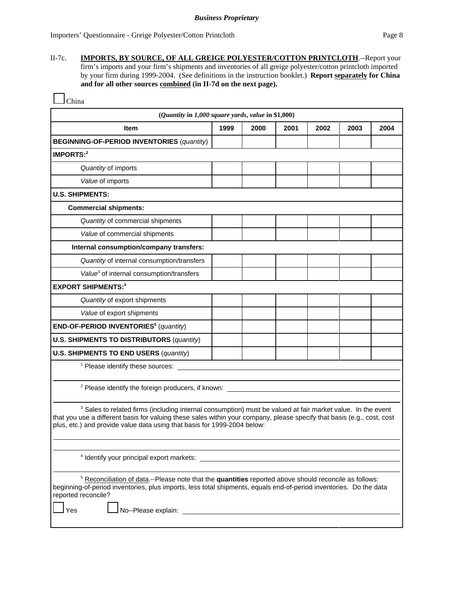II-7c. **IMPORTS, BY SOURCE, OF ALL GREIGE POLYESTER/COTTON PRINTCLOTH**.--Report your firm's imports and your firm's shipments and inventories of all greige polyester/cotton printcloth imported by your firm during 1999-2004. (See definitions in the instruction booklet.) **Report separately for China and for all other sources combined (in II-7d on the next page).** 

| шпя |
|-----|
|-----|

| (Quantity in 1,000 square yards, value in \$1,000)                                                                                                                                                                                                                                                                            |      |      |      |      |      |      |
|-------------------------------------------------------------------------------------------------------------------------------------------------------------------------------------------------------------------------------------------------------------------------------------------------------------------------------|------|------|------|------|------|------|
| <b>Item</b>                                                                                                                                                                                                                                                                                                                   | 1999 | 2000 | 2001 | 2002 | 2003 | 2004 |
| <b>BEGINNING-OF-PERIOD INVENTORIES (quantity)</b>                                                                                                                                                                                                                                                                             |      |      |      |      |      |      |
| IMPORTS: $2$                                                                                                                                                                                                                                                                                                                  |      |      |      |      |      |      |
| Quantity of imports                                                                                                                                                                                                                                                                                                           |      |      |      |      |      |      |
| Value of imports                                                                                                                                                                                                                                                                                                              |      |      |      |      |      |      |
| <b>U.S. SHIPMENTS:</b>                                                                                                                                                                                                                                                                                                        |      |      |      |      |      |      |
| <b>Commercial shipments:</b>                                                                                                                                                                                                                                                                                                  |      |      |      |      |      |      |
| Quantity of commercial shipments                                                                                                                                                                                                                                                                                              |      |      |      |      |      |      |
| Value of commercial shipments                                                                                                                                                                                                                                                                                                 |      |      |      |      |      |      |
| Internal consumption/company transfers:                                                                                                                                                                                                                                                                                       |      |      |      |      |      |      |
| Quantity of internal consumption/transfers                                                                                                                                                                                                                                                                                    |      |      |      |      |      |      |
| Value <sup>3</sup> of internal consumption/transfers                                                                                                                                                                                                                                                                          |      |      |      |      |      |      |
| <b>EXPORT SHIPMENTS:4</b>                                                                                                                                                                                                                                                                                                     |      |      |      |      |      |      |
| Quantity of export shipments                                                                                                                                                                                                                                                                                                  |      |      |      |      |      |      |
| Value of export shipments                                                                                                                                                                                                                                                                                                     |      |      |      |      |      |      |
| END-OF-PERIOD INVENTORIES <sup>5</sup> (quantity)                                                                                                                                                                                                                                                                             |      |      |      |      |      |      |
| <b>U.S. SHIPMENTS TO DISTRIBUTORS (quantity)</b>                                                                                                                                                                                                                                                                              |      |      |      |      |      |      |
| <b>U.S. SHIPMENTS TO END USERS (quantity)</b>                                                                                                                                                                                                                                                                                 |      |      |      |      |      |      |
| <sup>1</sup> Please identify these sources:                                                                                                                                                                                                                                                                                   |      |      |      |      |      |      |
| <sup>2</sup> Please identify the foreign producers, if known:                                                                                                                                                                                                                                                                 |      |      |      |      |      |      |
| <sup>3</sup> Sales to related firms (including internal consumption) must be valued at fair market value. In the event<br>that you use a different basis for valuing these sales within your company, please specify that basis (e.g., cost, cost<br>plus, etc.) and provide value data using that basis for 1999-2004 below: |      |      |      |      |      |      |
| <sup>4</sup> Identify your principal export markets:                                                                                                                                                                                                                                                                          |      |      |      |      |      |      |
| <sup>5</sup> Reconciliation of data.--Please note that the quantities reported above should reconcile as follows:<br>beginning-of-period inventories, plus imports, less total shipments, equals end-of-period inventories. Do the data<br>reported reconcile?<br>No--Please explain:<br>Yes                                  |      |      |      |      |      |      |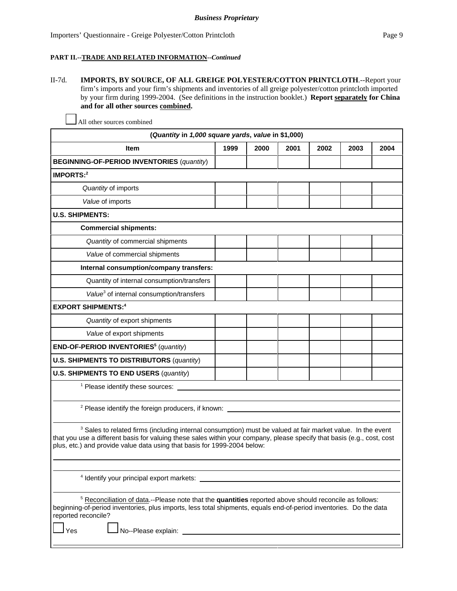II-7d. **IMPORTS, BY SOURCE, OF ALL GREIGE POLYESTER/COTTON PRINTCLOTH**.--Report your firm's imports and your firm's shipments and inventories of all greige polyester/cotton printcloth imported by your firm during 1999-2004. (See definitions in the instruction booklet.) **Report separately for China and for all other sources combined.** 

| (Quantity in 1,000 square yards, value in \$1,000)                                                                                                                                                                                                                                                                            |      |      |      |      |      |      |
|-------------------------------------------------------------------------------------------------------------------------------------------------------------------------------------------------------------------------------------------------------------------------------------------------------------------------------|------|------|------|------|------|------|
| Item                                                                                                                                                                                                                                                                                                                          | 1999 | 2000 | 2001 | 2002 | 2003 | 2004 |
| <b>BEGINNING-OF-PERIOD INVENTORIES (quantity)</b>                                                                                                                                                                                                                                                                             |      |      |      |      |      |      |
| IMPORTS: $2$                                                                                                                                                                                                                                                                                                                  |      |      |      |      |      |      |
| Quantity of imports                                                                                                                                                                                                                                                                                                           |      |      |      |      |      |      |
| Value of imports                                                                                                                                                                                                                                                                                                              |      |      |      |      |      |      |
| <b>U.S. SHIPMENTS:</b>                                                                                                                                                                                                                                                                                                        |      |      |      |      |      |      |
| <b>Commercial shipments:</b>                                                                                                                                                                                                                                                                                                  |      |      |      |      |      |      |
| Quantity of commercial shipments                                                                                                                                                                                                                                                                                              |      |      |      |      |      |      |
| Value of commercial shipments                                                                                                                                                                                                                                                                                                 |      |      |      |      |      |      |
| Internal consumption/company transfers:                                                                                                                                                                                                                                                                                       |      |      |      |      |      |      |
| Quantity of internal consumption/transfers                                                                                                                                                                                                                                                                                    |      |      |      |      |      |      |
| Value <sup>3</sup> of internal consumption/transfers                                                                                                                                                                                                                                                                          |      |      |      |      |      |      |
| <b>EXPORT SHIPMENTS:4</b>                                                                                                                                                                                                                                                                                                     |      |      |      |      |      |      |
| Quantity of export shipments                                                                                                                                                                                                                                                                                                  |      |      |      |      |      |      |
| Value of export shipments                                                                                                                                                                                                                                                                                                     |      |      |      |      |      |      |
| END-OF-PERIOD INVENTORIES <sup>5</sup> (quantity)                                                                                                                                                                                                                                                                             |      |      |      |      |      |      |
| <b>U.S. SHIPMENTS TO DISTRIBUTORS (quantity)</b>                                                                                                                                                                                                                                                                              |      |      |      |      |      |      |
| <b>U.S. SHIPMENTS TO END USERS (quantity)</b>                                                                                                                                                                                                                                                                                 |      |      |      |      |      |      |
| <sup>1</sup> Please identify these sources:                                                                                                                                                                                                                                                                                   |      |      |      |      |      |      |
| <sup>2</sup> Please identify the foreign producers, if known: ____                                                                                                                                                                                                                                                            |      |      |      |      |      |      |
| <sup>3</sup> Sales to related firms (including internal consumption) must be valued at fair market value. In the event<br>that you use a different basis for valuing these sales within your company, please specify that basis (e.g., cost, cost<br>plus, etc.) and provide value data using that basis for 1999-2004 below: |      |      |      |      |      |      |
| <sup>4</sup> Identify your principal export markets:                                                                                                                                                                                                                                                                          |      |      |      |      |      |      |

All other sources combined

5 Reconciliation of data.--Please note that the **quantities** reported above should reconcile as follows: beginning-of-period inventories, plus imports, less total shipments, equals end-of-period inventories. Do the data reported reconcile?

Yes **Latter Allo--Please explain:**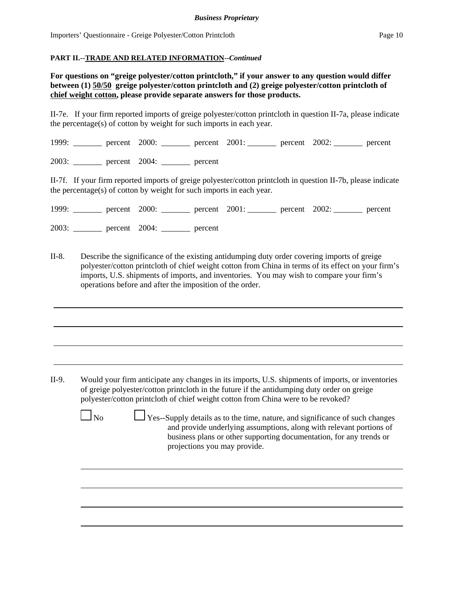**For questions on "greige polyester/cotton printcloth," if your answer to any question would differ between (1) 50/50 greige polyester/cotton printcloth and (2) greige polyester/cotton printcloth of chief weight cotton, please provide separate answers for those products.**

II-7e. If your firm reported imports of greige polyester/cotton printcloth in question II-7a, please indicate the percentage(s) of cotton by weight for such imports in each year.

1999: \_\_\_\_\_\_\_ percent 2000: \_\_\_\_\_\_\_ percent 2001: \_\_\_\_\_\_\_ percent 2002: \_\_\_\_\_\_\_ percent

2003: \_\_\_\_\_\_\_ percent 2004: \_\_\_\_\_\_\_ percent

II-7f. If your firm reported imports of greige polyester/cotton printcloth in question II-7b, please indicate the percentage(s) of cotton by weight for such imports in each year.

|       | 1999: percent 2000: percent 2001: percent 2002: percent |         |  |  |
|-------|---------------------------------------------------------|---------|--|--|
| 2003: | $\frac{\ }{\ }$ percent 2004:                           | percent |  |  |

II-8. Describe the significance of the existing antidumping duty order covering imports of greige polyester/cotton printcloth of chief weight cotton from China in terms of its effect on your firm's imports, U.S. shipments of imports, and inventories. You may wish to compare your firm's operations before and after the imposition of the order.

II-9. Would your firm anticipate any changes in its imports, U.S. shipments of imports, or inventories of greige polyester/cotton printcloth in the future if the antidumping duty order on greige polyester/cotton printcloth of chief weight cotton from China were to be revoked?

 $\Box$  No  $\Box$  Yes--Supply details as to the time, nature, and significance of such changes and provide underlying assumptions, along with relevant portions of business plans or other supporting documentation, for any trends or projections you may provide.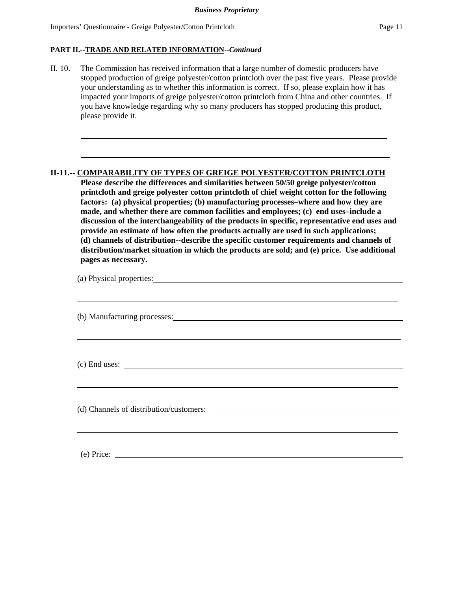$\overline{a}$ 

l

### **PART II.--TRADE AND RELATED INFORMATION--***Continued*

II. 10. The Commission has received information that a large number of domestic producers have stopped production of greige polyester/cotton printcloth over the past five years. Please provide your understanding as to whether this information is correct. If so, please explain how it has impacted your imports of greige polyester/cotton printcloth from China and other countries. If you have knowledge regarding why so many producers has stopped producing this product, please provide it.

### **II-11.-- COMPARABILITY OF TYPES OF GREIGE POLYESTER/COTTON PRINTCLOTH**

**Please describe the differences and similarities between 50/50 greige polyester/cotton printcloth and greige polyester cotton printcloth of chief weight cotton for the following factors: (a) physical properties; (b) manufacturing processes–where and how they are made, and whether there are common facilities and employees; (c) end uses–include a discussion of the interchangeability of the products in specific, representative end uses and provide an estimate of how often the products actually are used in such applications; (d) channels of distribution--describe the specific customer requirements and channels of distribution/market situation in which the products are sold; and (e) price. Use additional pages as necessary.**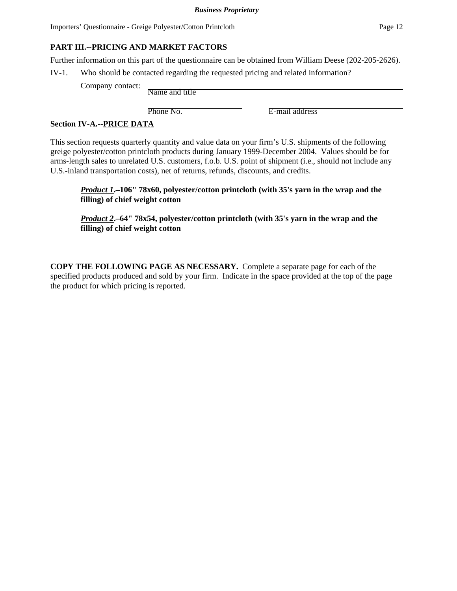# **PART III.--PRICING AND MARKET FACTORS**

Further information on this part of the questionnaire can be obtained from William Deese (202-205-2626).

IV-1. Who should be contacted regarding the requested pricing and related information?

Company contact: Name and title

Phone No. **E-mail address** 

## **Section IV-A.--PRICE DATA**

This section requests quarterly quantity and value data on your firm's U.S. shipments of the following greige polyester/cotton printcloth products during January 1999-December 2004. Values should be for arms-length sales to unrelated U.S. customers, f.o.b. U.S. point of shipment (i.e., should not include any U.S.-inland transportation costs), net of returns, refunds, discounts, and credits.

*Product 1***.–106" 78x60, polyester/cotton printcloth (with 35's yarn in the wrap and the filling) of chief weight cotton**

*Product 2***.–64" 78x54, polyester/cotton printcloth (with 35's yarn in the wrap and the filling) of chief weight cotton**

**COPY THE FOLLOWING PAGE AS NECESSARY.** Complete a separate page for each of the specified products produced and sold by your firm. Indicate in the space provided at the top of the page the product for which pricing is reported.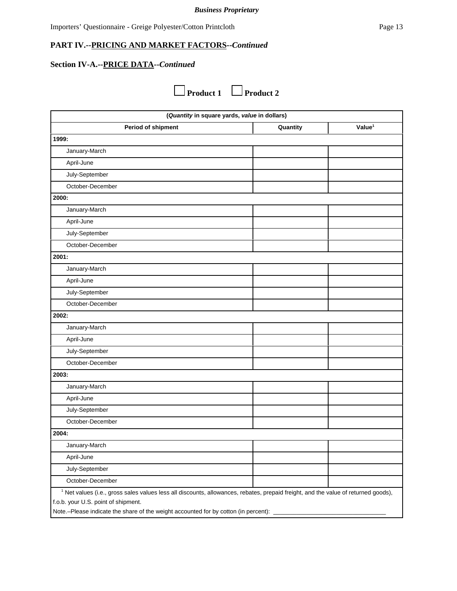# **Section IV-A.--PRICE DATA--***Continued*

**Product 1** Product 2

| (Quantity in square yards, value in dollars)                                                                                                                                                                                                                                |          |                    |  |  |
|-----------------------------------------------------------------------------------------------------------------------------------------------------------------------------------------------------------------------------------------------------------------------------|----------|--------------------|--|--|
| Period of shipment                                                                                                                                                                                                                                                          | Quantity | Value <sup>1</sup> |  |  |
| 1999:                                                                                                                                                                                                                                                                       |          |                    |  |  |
| January-March                                                                                                                                                                                                                                                               |          |                    |  |  |
| April-June                                                                                                                                                                                                                                                                  |          |                    |  |  |
| July-September                                                                                                                                                                                                                                                              |          |                    |  |  |
| October-December                                                                                                                                                                                                                                                            |          |                    |  |  |
| 2000:                                                                                                                                                                                                                                                                       |          |                    |  |  |
| January-March                                                                                                                                                                                                                                                               |          |                    |  |  |
| April-June                                                                                                                                                                                                                                                                  |          |                    |  |  |
| July-September                                                                                                                                                                                                                                                              |          |                    |  |  |
| October-December                                                                                                                                                                                                                                                            |          |                    |  |  |
| 2001:                                                                                                                                                                                                                                                                       |          |                    |  |  |
| January-March                                                                                                                                                                                                                                                               |          |                    |  |  |
| April-June                                                                                                                                                                                                                                                                  |          |                    |  |  |
| July-September                                                                                                                                                                                                                                                              |          |                    |  |  |
| October-December                                                                                                                                                                                                                                                            |          |                    |  |  |
| 2002:                                                                                                                                                                                                                                                                       |          |                    |  |  |
| January-March                                                                                                                                                                                                                                                               |          |                    |  |  |
| April-June                                                                                                                                                                                                                                                                  |          |                    |  |  |
| July-September                                                                                                                                                                                                                                                              |          |                    |  |  |
| October-December                                                                                                                                                                                                                                                            |          |                    |  |  |
| 2003:                                                                                                                                                                                                                                                                       |          |                    |  |  |
| January-March                                                                                                                                                                                                                                                               |          |                    |  |  |
| April-June                                                                                                                                                                                                                                                                  |          |                    |  |  |
| July-September                                                                                                                                                                                                                                                              |          |                    |  |  |
| October-December                                                                                                                                                                                                                                                            |          |                    |  |  |
| 2004:                                                                                                                                                                                                                                                                       |          |                    |  |  |
| January-March                                                                                                                                                                                                                                                               |          |                    |  |  |
| April-June                                                                                                                                                                                                                                                                  |          |                    |  |  |
| July-September                                                                                                                                                                                                                                                              |          |                    |  |  |
| October-December                                                                                                                                                                                                                                                            |          |                    |  |  |
| <sup>1</sup> Net values (i.e., gross sales values less all discounts, allowances, rebates, prepaid freight, and the value of returned goods),<br>f.o.b. your U.S. point of shipment.<br>Note.-Please indicate the share of the weight accounted for by cotton (in percent): |          |                    |  |  |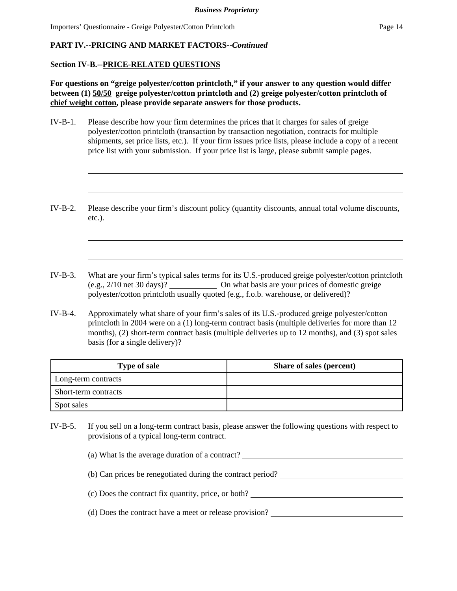### **Section IV-B.--PRICE-RELATED QUESTIONS**

**For questions on "greige polyester/cotton printcloth," if your answer to any question would differ between (1) 50/50 greige polyester/cotton printcloth and (2) greige polyester/cotton printcloth of chief weight cotton, please provide separate answers for those products.**

- IV-B-1. Please describe how your firm determines the prices that it charges for sales of greige polyester/cotton printcloth (transaction by transaction negotiation, contracts for multiple shipments, set price lists, etc.). If your firm issues price lists, please include a copy of a recent price list with your submission. If your price list is large, please submit sample pages.
- IV-B-2. Please describe your firm's discount policy (quantity discounts, annual total volume discounts, etc.).
- IV-B-3. What are your firm's typical sales terms for its U.S.-produced greige polyester/cotton printcloth (e.g., 2/10 net 30 days)? On what basis are your prices of domestic greige polyester/cotton printcloth usually quoted (e.g., f.o.b. warehouse, or delivered)?
- IV-B-4. Approximately what share of your firm's sales of its U.S.-produced greige polyester/cotton printcloth in 2004 were on a (1) long-term contract basis (multiple deliveries for more than 12 months), (2) short-term contract basis (multiple deliveries up to 12 months), and (3) spot sales basis (for a single delivery)?

| <b>Type of sale</b>  | Share of sales (percent) |
|----------------------|--------------------------|
| Long-term contracts  |                          |
| Short-term contracts |                          |
| Spot sales           |                          |

IV-B-5. If you sell on a long-term contract basis, please answer the following questions with respect to provisions of a typical long-term contract.

(a) What is the average duration of a contract?

- (b) Can prices be renegotiated during the contract period?
- (c) Does the contract fix quantity, price, or both?
- (d) Does the contract have a meet or release provision?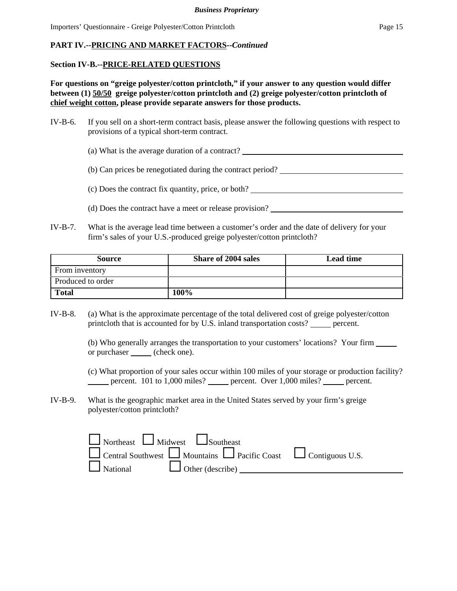### **Section IV-B.--PRICE-RELATED QUESTIONS**

**For questions on "greige polyester/cotton printcloth," if your answer to any question would differ between (1) 50/50 greige polyester/cotton printcloth and (2) greige polyester/cotton printcloth of chief weight cotton, please provide separate answers for those products.**

- IV-B-6. If you sell on a short-term contract basis, please answer the following questions with respect to provisions of a typical short-term contract.
	- (a) What is the average duration of a contract?
	- (b) Can prices be renegotiated during the contract period?
	- (c) Does the contract fix quantity, price, or both?
	- (d) Does the contract have a meet or release provision?
- IV-B-7. What is the average lead time between a customer's order and the date of delivery for your firm's sales of your U.S.-produced greige polyester/cotton printcloth?

| Source            | <b>Share of 2004 sales</b> | Lead time |
|-------------------|----------------------------|-----------|
| From inventory    |                            |           |
| Produced to order |                            |           |
| <b>Total</b>      | 100%                       |           |

IV-B-8. (a) What is the approximate percentage of the total delivered cost of greige polyester/cotton printcloth that is accounted for by U.S. inland transportation costs? \_\_\_\_\_ percent.

> (b) Who generally arranges the transportation to your customers' locations? Your firm or purchaser (check one).

(c) What proportion of your sales occur within 100 miles of your storage or production facility? percent. 101 to 1,000 miles? percent. Over 1,000 miles? percent.

IV-B-9. What is the geographic market area in the United States served by your firm's greige polyester/cotton printcloth?

| $\Box$ Northeast $\Box$ Midwest $\Box$ Southeast |                                                                                       |  |
|--------------------------------------------------|---------------------------------------------------------------------------------------|--|
|                                                  | $\Box$ Central Southwest $\Box$ Mountains $\Box$ Pacific Coast $\Box$ Contiguous U.S. |  |
| $\Box$ National $\Box$ Other (describe)          |                                                                                       |  |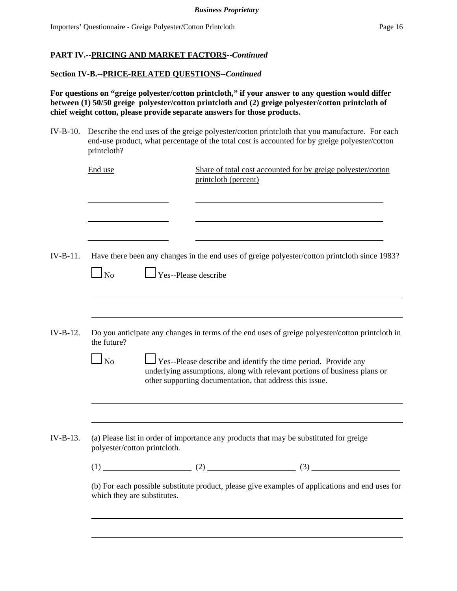### **Section IV-B.--PRICE-RELATED QUESTIONS--***Continued*

**For questions on "greige polyester/cotton printcloth," if your answer to any question would differ between (1) 50/50 greige polyester/cotton printcloth and (2) greige polyester/cotton printcloth of chief weight cotton, please provide separate answers for those products.**

IV-B-10. Describe the end uses of the greige polyester/cotton printcloth that you manufacture. For each end-use product, what percentage of the total cost is accounted for by greige polyester/cotton printcloth?

|            | End use                                                     | Share of total cost accounted for by greige polyester/cotton<br>printcloth (percent)                                                                                                                                                                                                                              |
|------------|-------------------------------------------------------------|-------------------------------------------------------------------------------------------------------------------------------------------------------------------------------------------------------------------------------------------------------------------------------------------------------------------|
|            |                                                             |                                                                                                                                                                                                                                                                                                                   |
| $IV-B-11.$ | $\Gamma$ Yes--Please describe<br>$\Box$ No                  | Have there been any changes in the end uses of greige polyester/cotton printcloth since 1983?                                                                                                                                                                                                                     |
| $IV-B-12.$ | the future?<br>N <sub>0</sub>                               | Do you anticipate any changes in terms of the end uses of greige polyester/cotton printcloth in<br>$\Box$ Yes--Please describe and identify the time period. Provide any<br>underlying assumptions, along with relevant portions of business plans or<br>other supporting documentation, that address this issue. |
| IV-B-13.   | polyester/cotton printcloth.<br>which they are substitutes. | (a) Please list in order of importance any products that may be substituted for greige<br>(1) (2) (3)<br>(b) For each possible substitute product, please give examples of applications and end uses for                                                                                                          |
|            |                                                             |                                                                                                                                                                                                                                                                                                                   |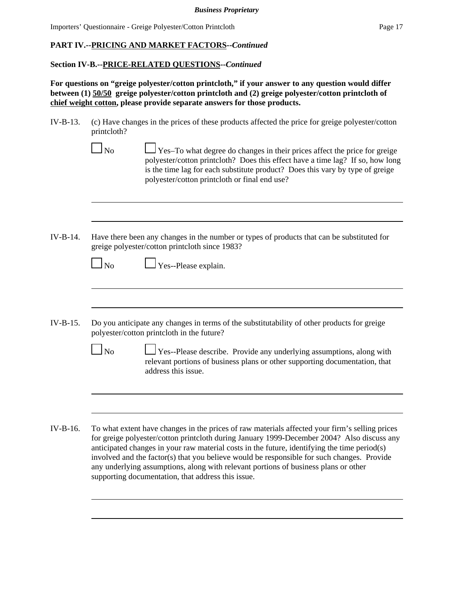## **Section IV-B.--PRICE-RELATED QUESTIONS--***Continued*

**For questions on "greige polyester/cotton printcloth," if your answer to any question would differ between (1) 50/50 greige polyester/cotton printcloth and (2) greige polyester/cotton printcloth of chief weight cotton, please provide separate answers for those products.**

- IV-B-13. (c) Have changes in the prices of these products affected the price for greige polyester/cotton printcloth?
	- $\Box$  No  $\Box$  Yes–To what degree do changes in their prices affect the price for greige polyester/cotton printcloth? Does this effect have a time lag? If so, how long is the time lag for each substitute product? Does this vary by type of greige polyester/cotton printcloth or final end use?
- IV-B-14. Have there been any changes in the number or types of products that can be substituted for greige polyester/cotton printcloth since 1983?

| $\Box$ No | $\Box$ Yes--Please explain. |
|-----------|-----------------------------|
|           |                             |

- IV-B-15. Do you anticipate any changes in terms of the substitutability of other products for greige polyester/cotton printcloth in the future?
	- No Yes--Please describe. Provide any underlying assumptions, along with relevant portions of business plans or other supporting documentation, that address this issue.
- IV-B-16. To what extent have changes in the prices of raw materials affected your firm's selling prices for greige polyester/cotton printcloth during January 1999-December 2004? Also discuss any anticipated changes in your raw material costs in the future, identifying the time period(s) involved and the factor(s) that you believe would be responsible for such changes. Provide any underlying assumptions, along with relevant portions of business plans or other supporting documentation, that address this issue.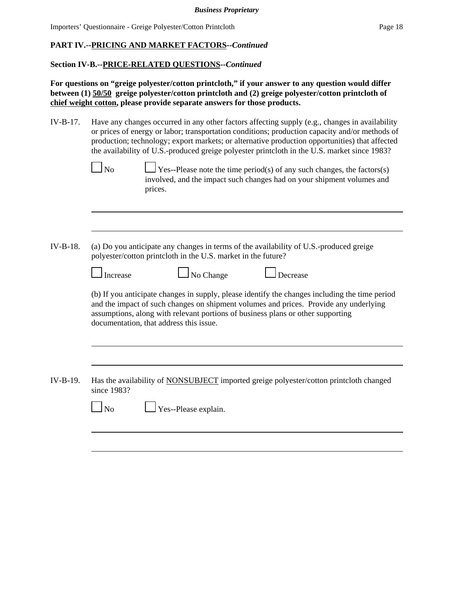### **Section IV-B.--PRICE-RELATED QUESTIONS--***Continued*

**For questions on "greige polyester/cotton printcloth," if your answer to any question would differ between (1) 50/50 greige polyester/cotton printcloth and (2) greige polyester/cotton printcloth of chief weight cotton, please provide separate answers for those products.**

- IV-B-17. Have any changes occurred in any other factors affecting supply (e.g., changes in availability or prices of energy or labor; transportation conditions; production capacity and/or methods of production; technology; export markets; or alternative production opportunities) that affected the availability of U.S.-produced greige polyester printcloth in the U.S. market since 1983?
	- $\Box$  No  $\Box$  Yes--Please note the time period(s) of any such changes, the factors(s) involved, and the impact such changes had on your shipment volumes and prices.
- IV-B-18. (a) Do you anticipate any changes in terms of the availability of U.S.-produced greige polyester/cotton printcloth in the U.S. market in the future?

| ∟ Increase | $\Box$ No Change | $\Box$ Decrease |
|------------|------------------|-----------------|
|------------|------------------|-----------------|

(b) If you anticipate changes in supply, please identify the changes including the time period and the impact of such changes on shipment volumes and prices. Provide any underlying assumptions, along with relevant portions of business plans or other supporting documentation, that address this issue.

IV-B-19. Has the availability of NONSUBJECT imported greige polyester/cotton printcloth changed since 1983?

No Yes--Please explain.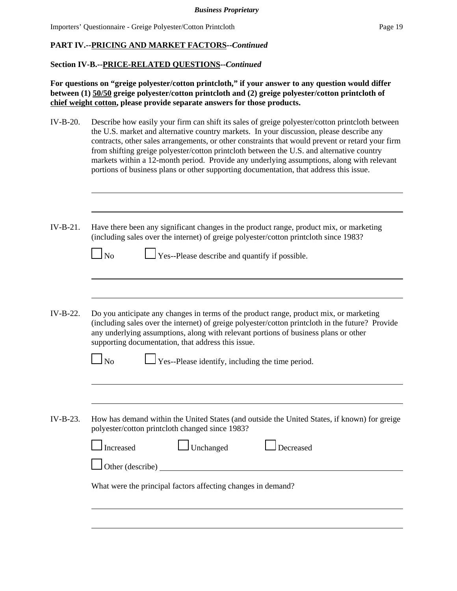## **PART IV.--PRICING AND MARKET FACTORS--***Continued*

### **Section IV-B.--PRICE-RELATED QUESTIONS--***Continued*

**For questions on "greige polyester/cotton printcloth," if your answer to any question would differ between (1) 50/50 greige polyester/cotton printcloth and (2) greige polyester/cotton printcloth of chief weight cotton, please provide separate answers for those products.**

IV-B-20. Describe how easily your firm can shift its sales of greige polyester/cotton printcloth between the U.S. market and alternative country markets. In your discussion, please describe any contracts, other sales arrangements, or other constraints that would prevent or retard your firm from shifting greige polyester/cotton printcloth between the U.S. and alternative country markets within a 12-month period. Provide any underlying assumptions, along with relevant portions of business plans or other supporting documentation, that address this issue.

| $IV-B-21.$ | Have there been any significant changes in the product range, product mix, or marketing<br>(including sales over the internet) of greige polyester/cotton printcloth since 1983?<br>Yes--Please describe and quantify if possible.<br>$\overline{N}$                                                                                                                                              |
|------------|---------------------------------------------------------------------------------------------------------------------------------------------------------------------------------------------------------------------------------------------------------------------------------------------------------------------------------------------------------------------------------------------------|
|            |                                                                                                                                                                                                                                                                                                                                                                                                   |
| $IV-B-22.$ | Do you anticipate any changes in terms of the product range, product mix, or marketing<br>(including sales over the internet) of greige polyester/cotton printcloth in the future? Provide<br>any underlying assumptions, along with relevant portions of business plans or other<br>supporting documentation, that address this issue.<br>Yes--Please identify, including the time period.<br>No |
|            |                                                                                                                                                                                                                                                                                                                                                                                                   |
| $IV-B-23.$ | How has demand within the United States (and outside the United States, if known) for greige<br>polyester/cotton printcloth changed since 1983?<br>$\Box$ Unchanged<br>Increased<br>Decreased<br>Other (describe)                                                                                                                                                                                 |
|            | What were the principal factors affecting changes in demand?                                                                                                                                                                                                                                                                                                                                      |
|            |                                                                                                                                                                                                                                                                                                                                                                                                   |
|            |                                                                                                                                                                                                                                                                                                                                                                                                   |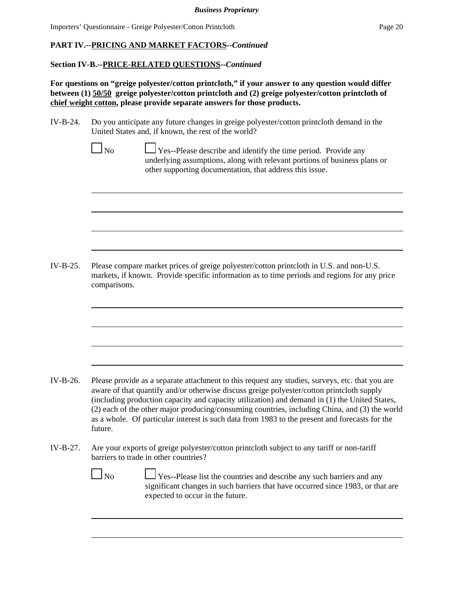## **PART IV.--PRICING AND MARKET FACTORS--***Continued*

## **Section IV-B.--PRICE-RELATED QUESTIONS--***Continued*

**For questions on "greige polyester/cotton printcloth," if your answer to any question would differ between (1) 50/50 greige polyester/cotton printcloth and (2) greige polyester/cotton printcloth of chief weight cotton, please provide separate answers for those products.**

- IV-B-24. Do you anticipate any future changes in greige polyester/cotton printcloth demand in the United States and, if known, the rest of the world?
- $\Box$  No  $\Box$  Yes--Please describe and identify the time period. Provide any underlying assumptions, along with relevant portions of business plans or other supporting documentation, that address this issue. IV-B-25. Please compare market prices of greige polyester/cotton printcloth in U.S. and non-U.S. markets, if known. Provide specific information as to time periods and regions for any price comparisons. IV-B-26. Please provide as a separate attachment to this request any studies, surveys, etc. that you are aware of that quantify and/or otherwise discuss greige polyester/cotton printcloth supply (including production capacity and capacity utilization) and demand in (1) the United States, (2) each of the other major producing/consuming countries, including China, and (3) the world as a whole. Of particular interest is such data from 1983 to the present and forecasts for the future. IV-B-27. Are your exports of greige polyester/cotton printcloth subject to any tariff or non-tariff barriers to trade in other countries? No Ses--Please list the countries and describe any such barriers and any significant changes in such barriers that have occurred since 1983, or that are expected to occur in the future.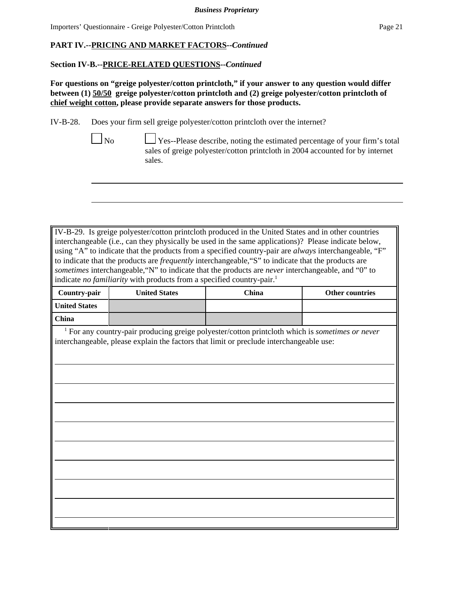# **PART IV.--PRICING AND MARKET FACTORS--***Continued*

## **Section IV-B.--PRICE-RELATED QUESTIONS--***Continued*

**For questions on "greige polyester/cotton printcloth," if your answer to any question would differ between (1) 50/50 greige polyester/cotton printcloth and (2) greige polyester/cotton printcloth of chief weight cotton, please provide separate answers for those products.**

IV-B-28. Does your firm sell greige polyester/cotton printcloth over the internet?

 $\Box$ No  $\Box$  Yes--Please describe, noting the estimated percentage of your firm's total sales of greige polyester/cotton printcloth in 2004 accounted for by internet sales.

IV-B-29. Is greige polyester/cotton printcloth produced in the United States and in other countries interchangeable (i.e., can they physically be used in the same applications)? Please indicate below, using "A" to indicate that the products from a specified country-pair are *always* interchangeable, "F" to indicate that the products are *frequently* interchangeable,"S" to indicate that the products are *sometimes* interchangeable,"N" to indicate that the products are *never* interchangeable, and "0" to indicate *no familiarity* with products from a specified country-pair.<sup>1</sup>

| Country-pair         | <b>United States</b> | China | <b>Other countries</b> |
|----------------------|----------------------|-------|------------------------|
| <b>United States</b> |                      |       |                        |
| China                |                      |       |                        |

 <sup>1</sup> For any country-pair producing greige polyester/cotton printcloth which is *sometimes or never* interchangeable, please explain the factors that limit or preclude interchangeable use: